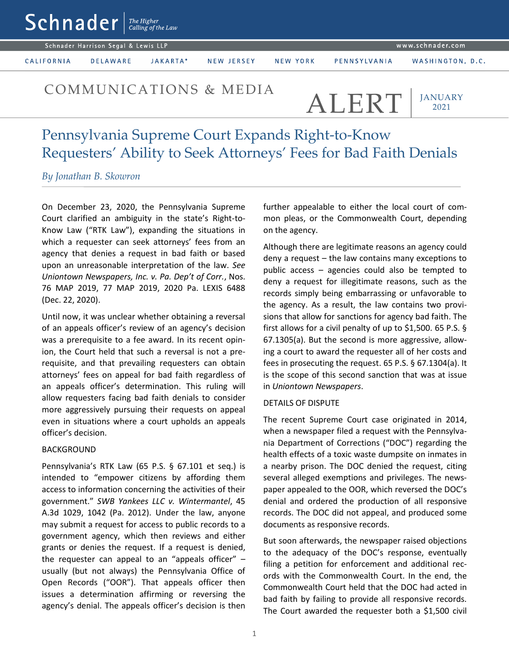www.schnader.com

Schnader Harrison Segal & Lewis LLP

CALIFORNIA

JAKARTA\* **DELAWARE** 

NEW JERSEY

NEW YORK

# COMMUNICATIONS & MEDIA ALERT

## **JANUARY** 2021

# Pennsylvania Supreme Court Expands Right-to-Know Requesters' Ability to Seek Attorneys' Fees for Bad Faith Denials

### *By Jonathan B. Skowron*

 $\mathsf{Sch}$ nader  $\lceil \frac{\mathit{The Higher}}{\mathit{Calling of the Law}} \rceil$ 

On December 23, 2020, the Pennsylvania Supreme Court clarified an ambiguity in the state's Right-to-Know Law ("RTK Law"), expanding the situations in which a requester can seek attorneys' fees from an agency that denies a request in bad faith or based upon an unreasonable interpretation of the law. *See Uniontown Newspapers, Inc. v. Pa. Dep't of Corr.*, Nos. 76 MAP 2019, 77 MAP 2019, 2020 Pa. LEXIS 6488 (Dec. 22, 2020).

Until now, it was unclear whether obtaining a reversal of an appeals officer's review of an agency's decision was a prerequisite to a fee award. In its recent opinion, the Court held that such a reversal is not a prerequisite, and that prevailing requesters can obtain attorneys' fees on appeal for bad faith regardless of an appeals officer's determination. This ruling will allow requesters facing bad faith denials to consider more aggressively pursuing their requests on appeal even in situations where a court upholds an appeals officer's decision.

#### BACKGROUND

Pennsylvania's RTK Law (65 P.S. § 67.101 et seq.) is intended to "empower citizens by affording them access to information concerning the activities of their government." *SWB Yankees LLC v. Wintermantel*, 45 A.3d 1029, 1042 (Pa. 2012). Under the law, anyone may submit a request for access to public records to a government agency, which then reviews and either grants or denies the request. If a request is denied, the requester can appeal to an "appeals officer"  $$ usually (but not always) the Pennsylvania Office of Open Records ("OOR"). That appeals officer then issues a determination affirming or reversing the agency's denial. The appeals officer's decision is then further appealable to either the local court of common pleas, or the Commonwealth Court, depending on the agency.

Although there are legitimate reasons an agency could deny a request – the law contains many exceptions to public access – agencies could also be tempted to deny a request for illegitimate reasons, such as the records simply being embarrassing or unfavorable to the agency. As a result, the law contains two provisions that allow for sanctions for agency bad faith. The first allows for a civil penalty of up to \$1,500. 65 P.S. § 67.1305(a). But the second is more aggressive, allowing a court to award the requester all of her costs and fees in prosecuting the request. 65 P.S. § 67.1304(a). It is the scope of this second sanction that was at issue in *Uniontown Newspapers*.

#### DETAILS OF DISPUTE

The recent Supreme Court case originated in 2014, when a newspaper filed a request with the Pennsylvania Department of Corrections ("DOC") regarding the health effects of a toxic waste dumpsite on inmates in a nearby prison. The DOC denied the request, citing several alleged exemptions and privileges. The newspaper appealed to the OOR, which reversed the DOC's denial and ordered the production of all responsive records. The DOC did not appeal, and produced some documents as responsive records.

But soon afterwards, the newspaper raised objections to the adequacy of the DOC's response, eventually filing a petition for enforcement and additional records with the Commonwealth Court. In the end, the Commonwealth Court held that the DOC had acted in bad faith by failing to provide all responsive records. The Court awarded the requester both a \$1,500 civil